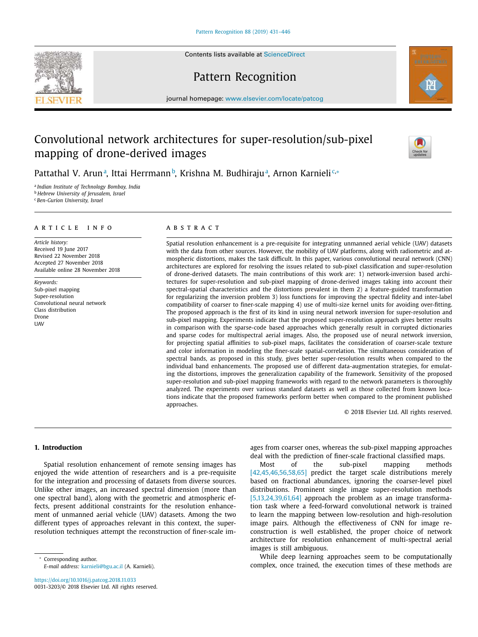Contents lists available at [ScienceDirect](http://www.ScienceDirect.com)

# Pattern Recognition

journal homepage: [www.elsevier.com/locate/patcog](http://www.elsevier.com/locate/patcog)

# Convolutional network architectures for super-resolution/sub-pixel mapping of drone-derived images

Pattathal V. Arunª, Ittai Herrmannb, Krishna M. Budhirajuª, Arnon Karnieli<sup>c,</sup>\*

<sup>a</sup> *Indian Institute of Technology Bombay, India* <sup>b</sup> *Hebrew University of Jerusalem, Israel* <sup>c</sup> *Ben-Gurion University, Israel*

#### a r t i c l e i n f o

*Article history:* Received 19 June 2017 Revised 22 November 2018 Accepted 27 November 2018 Available online 28 November 2018

*Keywords:* Sub-pixel mapping Super-resolution Convolutional neural network Class distribution Drone **UAV** 

### A B S T R A C T

Spatial resolution enhancement is a pre-requisite for integrating unmanned aerial vehicle (UAV) datasets with the data from other sources. However, the mobility of UAV platforms, along with radiometric and atmospheric distortions, makes the task difficult. In this paper, various convolutional neural network (CNN) architectures are explored for resolving the issues related to sub-pixel classification and super-resolution of drone-derived datasets. The main contributions of this work are: 1) network-inversion based architectures for super-resolution and sub-pixel mapping of drone-derived images taking into account their spectral-spatial characteristics and the distortions prevalent in them 2) a feature-guided transformation for regularizing the inversion problem 3) loss functions for improving the spectral fidelity and inter-label compatibility of coarser to finer-scale mapping 4) use of multi-size kernel units for avoiding over-fitting. The proposed approach is the first of its kind in using neural network inversion for super-resolution and sub-pixel mapping. Experiments indicate that the proposed super-resolution approach gives better results in comparison with the sparse-code based approaches which generally result in corrupted dictionaries and sparse codes for multispectral aerial images. Also, the proposed use of neural network inversion, for projecting spatial affinities to sub-pixel maps, facilitates the consideration of coarser-scale texture and color information in modeling the finer-scale spatial-correlation. The simultaneous consideration of spectral bands, as proposed in this study, gives better super-resolution results when compared to the individual band enhancements. The proposed use of different data-augmentation strategies, for emulating the distortions, improves the generalization capability of the framework. Sensitivity of the proposed super-resolution and sub-pixel mapping frameworks with regard to the network parameters is thoroughly analyzed. The experiments over various standard datasets as well as those collected from known locations indicate that the proposed frameworks perform better when compared to the prominent published approaches.

© 2018 Elsevier Ltd. All rights reserved.

### **1. Introduction**

Spatial resolution enhancement of remote sensing images has enjoyed the wide attention of researchers and is a pre-requisite for the integration and processing of datasets from diverse sources. Unlike other images, an increased spectral dimension (more than one spectral band), along with the geometric and atmospheric effects, present additional constraints for the resolution enhancement of unmanned aerial vehicle (UAV) datasets. Among the two different types of approaches relevant in this context, the superresolution techniques attempt the reconstruction of finer-scale im-

Corresponding author.

*E-mail address:* [karnieli@bgu.ac.il](mailto:karnieli@bgu.ac.il) (A. Karnieli).

<https://doi.org/10.1016/j.patcog.2018.11.033> 0031-3203/© 2018 Elsevier Ltd. All rights reserved. ages from coarser ones, whereas the sub-pixel mapping approaches deal with the prediction of finer-scale fractional classified maps.

Most of the sub-pixel mapping methods [\[42,45,46,56,58,65\]](#page-14-0) predict the target scale distributions merely based on fractional abundances, ignoring the coarser-level pixel distributions. Prominent single image super-resolution methods [\[5,13,24,39,61,64\]](#page-14-0) approach the problem as an image transformation task where a feed-forward convolutional network is trained to learn the mapping between low-resolution and high-resolution image pairs. Although the effectiveness of CNN for image reconstruction is well established, the proper choice of network architecture for resolution enhancement of multi-spectral aerial images is still ambiguous.

While deep learning approaches seem to be computationally complex, once trained, the execution times of these methods are





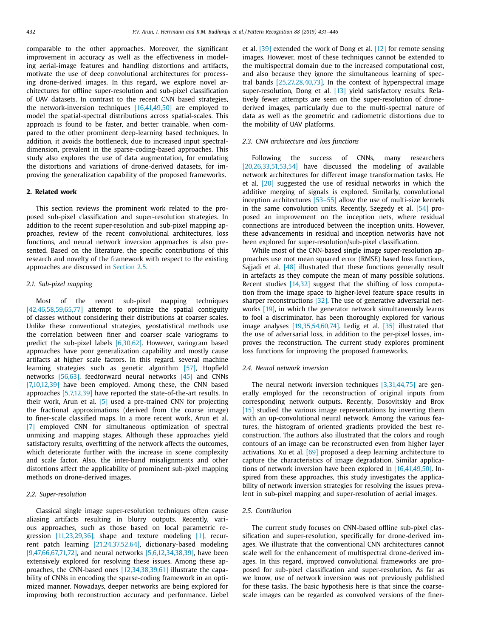comparable to the other approaches. Moreover, the significant improvement in accuracy as well as the effectiveness in modeling aerial-image features and handling distortions and artifacts, motivate the use of deep convolutional architectures for processing drone-derived images. In this regard, we explore novel architectures for offline super-resolution and sub-pixel classification of UAV datasets. In contrast to the recent CNN based strategies, the network-inversion techniques [\[16,41,49,50\]](#page-14-0) are employed to model the spatial-spectral distributions across spatial-scales. This approach is found to be faster, and better trainable, when compared to the other prominent deep-learning based techniques. In addition, it avoids the bottleneck, due to increased input spectraldimension, prevalent in the sparse-coding-based approaches. This study also explores the use of data augmentation, for emulating the distortions and variations of drone-derived datasets, for improving the generalization capability of the proposed frameworks.

### **2. Related work**

This section reviews the prominent work related to the proposed sub-pixel classification and super-resolution strategies. In addition to the recent super-resolution and sub-pixel mapping approaches, review of the recent convolutional architectures, loss functions, and neural network inversion approaches is also presented. Based on the literature, the specific contributions of this research and novelty of the framework with respect to the existing approaches are discussed in Section 2.5.

### *2.1. Sub-pixel mapping*

Most of the recent sub-pixel mapping techniques [\[42,46,58,59,65,77\]](#page-14-0) attempt to optimize the spatial contiguity of classes without considering their distributions at coarser scales. Unlike these conventional strategies, geostatistical methods use the correlation between finer and coarser scale variograms to predict the sub-pixel labels [\[6,30,62\].](#page-14-0) However, variogram based approaches have poor generalization capability and mostly cause artifacts at higher scale factors. In this regard, several machine learning strategies such as genetic algorithm [\[57\],](#page-15-0) Hopfield networks [\[56,63\],](#page-15-0) feedforward neural networks [\[45\]](#page-14-0) and CNNs [\[7,10,12,39\]](#page-14-0) have been employed. Among these, the CNN based approaches [\[5,7,12,39\]](#page-14-0) have reported the state-of-the-art results. In their work, Arun et al. [\[5\]](#page-14-0) used a pre-trained CNN for projecting the fractional approximations (derived from the coarse image) to finer-scale classified maps. In a more recent work, Arun et al. [\[7\]](#page-14-0) employed CNN for simultaneous optimization of spectral unmixing and mapping stages. Although these approaches yield satisfactory results, overfitting of the network affects the outcomes, which deteriorate further with the increase in scene complexity and scale factor. Also, the inter-band misalignments and other distortions affect the applicability of prominent sub-pixel mapping methods on drone-derived images.

#### *2.2. Super-resolution*

Classical single image super-resolution techniques often cause aliasing artifacts resulting in blurry outputs. Recently, various approaches, such as those based on local parametric re-gression [\[11,23,29,36\],](#page-14-0) shape and texture modeling [\[1\],](#page-14-0) recurrent patch learning [\[21,24,37,52,64\],](#page-14-0) dictionary-based modeling [\[9,47,66,67,71,72\],](#page-14-0) and neural networks [\[5,6,12,34,38,39\],](#page-14-0) have been extensively explored for resolving these issues. Among these approaches, the CNN-based ones [\[12,34,38,39,61\]](#page-14-0) illustrate the capability of CNNs in encoding the sparse-coding framework in an optimized manner. Nowadays, deeper networks are being explored for improving both reconstruction accuracy and performance. Liebel et al. [\[39\]](#page-14-0) extended the work of Dong et al. [\[12\]](#page-14-0) for remote sensing images. However, most of these techniques cannot be extended to the multispectral domain due to the increased computational cost, and also because they ignore the simultaneous learning of spectral bands [\[25,27,28,40,73\].](#page-14-0) In the context of hyperspectral image super-resolution, Dong et al. <a>[\[13\]](#page-14-0)</a> yield satisfactory results. Relatively fewer attempts are seen on the super-resolution of dronederived images, particularly due to the multi-spectral nature of data as well as the geometric and radiometric distortions due to the mobility of UAV platforms.

#### *2.3. CNN architecture and loss functions*

Following the success of CNNs, many researchers [\[20,26,33,51,53,54\]](#page-14-0) have discussed the modeling of available network architectures for different image transformation tasks. He et al. [\[20\]](#page-14-0) suggested the use of residual networks in which the additive merging of signals is explored. Similarly, convolutional inception architectures [\[53–55\]](#page-15-0) allow the use of multi-size kernels in the same convolution units. Recently, Szegedy et al. [\[54\]](#page-15-0) proposed an improvement on the inception nets, where residual connections are introduced between the inception units. However, these advancements in residual and inception networks have not been explored for super-resolution/sub-pixel classification.

While most of the CNN-based single image super-resolution approaches use root mean squared error (RMSE) based loss functions, Sajjadi et al. [\[48\]](#page-15-0) illustrated that these functions generally result in artefacts as they compute the mean of many possible solutions. Recent studies [\[14,32\]](#page-14-0) suggest that the shifting of loss computation from the image space to higher-level feature space results in sharper reconstructions [\[32\].](#page-14-0) The use of generative adversarial networks [\[19\],](#page-14-0) in which the generator network simultaneously learns to fool a discriminator, has been thoroughly explored for various image analyses [\[19,35,54,60,74\].](#page-14-0) Ledig et al. [\[35\]](#page-14-0) illustrated that the use of adversarial loss, in addition to the per-pixel losses, improves the reconstruction. The current study explores prominent loss functions for improving the proposed frameworks.

#### *2.4. Neural network inversion*

The neural network inversion techniques [\[3,31,44,75\]](#page-14-0) are generally employed for the reconstruction of original inputs from corresponding network outputs. Recently, Dosovitskiy and Brox [\[15\]](#page-14-0) studied the various image representations by inverting them with an up-convolutional neural network. Among the various features, the histogram of oriented gradients provided the best reconstruction. The authors also illustrated that the colors and rough contours of an image can be reconstructed even from higher layer activations. Xu et al. [\[69\]](#page-15-0) proposed a deep learning architecture to capture the characteristics of image degradation. Similar applications of network inversion have been explored in [\[16,41,49,50\].](#page-14-0) Inspired from these approaches, this study investigates the applicability of network inversion strategies for resolving the issues prevalent in sub-pixel mapping and super-resolution of aerial images.

### *2.5. Contribution*

The current study focuses on CNN-based offline sub-pixel classification and super-resolution, specifically for drone-derived images. We illustrate that the conventional CNN architectures cannot scale well for the enhancement of multispectral drone-derived images. In this regard, improved convolutional frameworks are proposed for sub-pixel classification and super-resolution. As far as we know, use of network inversion was not previously published for these tasks. The basic hypothesis here is that since the coarsescale images can be regarded as convolved versions of the finer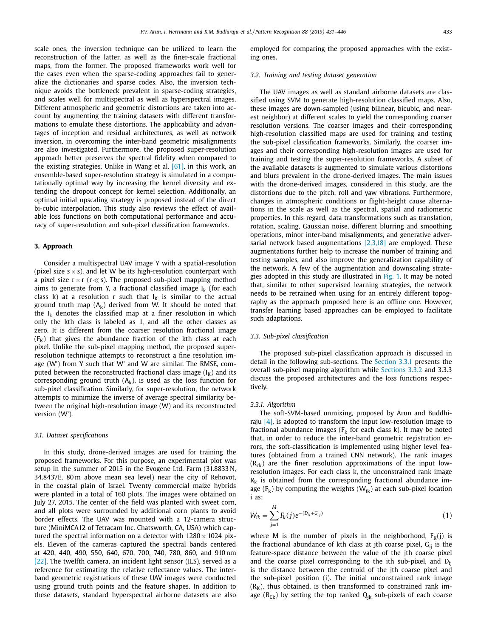<span id="page-2-0"></span>scale ones, the inversion technique can be utilized to learn the reconstruction of the latter, as well as the finer-scale fractional maps, from the former. The proposed frameworks work well for the cases even when the sparse-coding approaches fail to generalize the dictionaries and sparse codes. Also, the inversion technique avoids the bottleneck prevalent in sparse-coding strategies, and scales well for multispectral as well as hyperspectral images. Different atmospheric and geometric distortions are taken into account by augmenting the training datasets with different transformations to emulate these distortions. The applicability and advantages of inception and residual architectures, as well as network inversion, in overcoming the inter-band geometric misalignments are also investigated. Furthermore, the proposed super-resolution approach better preserves the spectral fidelity when compared to the existing strategies. Unlike in Wang et al. [\[61\],](#page-15-0) in this work, an ensemble-based super-resolution strategy is simulated in a computationally optimal way by increasing the kernel diversity and extending the dropout concept for kernel selection. Additionally, an optimal initial upscaling strategy is proposed instead of the direct bi-cubic interpolation. This study also reviews the effect of available loss functions on both computational performance and accuracy of super-resolution and sub-pixel classification frameworks.

### **3. Approach**

Consider a multispectral UAV image Y with a spatial-resolution (pixel size  $s \times s$ ), and let W be its high-resolution counterpart with a pixel size  $r \times r$  ( $r \ll s$ ). The proposed sub-pixel mapping method aims to generate from Y, a fractional classified image  $I_k$  (for each class k) at a resolution r such that  $I_K$  is similar to the actual ground truth map  $(A_k)$  derived from W. It should be noted that the  $I_k$  denotes the classified map at a finer resolution in which only the kth class is labeled as 1, and all the other classes as zero. It is different from the coarser resolution fractional image  $(F<sub>K</sub>)$  that gives the abundance fraction of the kth class at each pixel. Unlike the sub-pixel mapping method, the proposed superresolution technique attempts to reconstruct a fine resolution image (W') from Y such that W' and W are similar. The RMSE, computed between the reconstructed fractional class image  $(I_K)$  and its corresponding ground truth  $(A_k)$ , is used as the loss function for sub-pixel classification. Similarly, for super-resolution, the network attempts to minimize the inverse of average spectral similarity between the original high-resolution image (W) and its reconstructed version (W').

#### *3.1. Dataset specifications*

In this study, drone-derived images are used for training the proposed frameworks. For this purpose, an experimental plot was setup in the summer of 2015 in the Evogene Ltd. Farm (31.8833 N, 34.8437E, 80 m above mean sea level) near the city of Rehovot, in the coastal plain of Israel. Twenty commercial maize hybrids were planted in a total of 160 plots. The images were obtained on July 27, 2015. The center of the field was planted with sweet corn, and all plots were surrounded by additional corn plants to avoid border effects. The UAV was mounted with a 12-camera structure (MiniMCA12 of Tetracam Inc. Chatsworth, CA, USA) which captured the spectral information on a detector with  $1280 \times 1024$  pixels. Eleven of the cameras captured the spectral bands centered at 420, 440, 490, 550, 640, 670, 700, 740, 780, 860, and 910 nm [\[22\].](#page-14-0) The twelfth camera, an incident light sensor (ILS), served as a reference for estimating the relative reflectance values. The interband geometric registrations of these UAV images were conducted using ground truth points and the feature shapes. In addition to these datasets, standard hyperspectral airborne datasets are also

employed for comparing the proposed approaches with the existing ones.

### *3.2. Training and testing dataset generation*

The UAV images as well as standard airborne datasets are classified using SVM to generate high-resolution classified maps. Also, these images are down-sampled (using bilinear, bicubic, and nearest neighbor) at different scales to yield the corresponding coarser resolution versions. The coarser images and their corresponding high-resolution classified maps are used for training and testing the sub-pixel classification frameworks. Similarly, the coarser images and their corresponding high-resolution images are used for training and testing the super-resolution frameworks. A subset of the available datasets is augmented to simulate various distortions and blurs prevalent in the drone-derived images. The main issues with the drone-derived images, considered in this study, are the distortions due to the pitch, roll and yaw vibrations. Furthermore, changes in atmospheric conditions or flight-height cause alternations in the scale as well as the spectral, spatial and radiometric properties. In this regard, data transformations such as translation, rotation, scaling, Gaussian noise, different blurring and smoothing operations, minor inter-band misalignments, and generative adversarial network based augmentations  $[2,3,18]$  are employed. These augmentations further help to increase the number of training and testing samples, and also improve the generalization capability of the network. A few of the augmentation and downscaling strategies adopted in this study are illustrated in [Fig.](#page-3-0) 1. It may be noted that, similar to other supervised learning strategies, the network needs to be retrained when using for an entirely different topography as the approach proposed here is an offline one. However, transfer learning based approaches can be employed to facilitate such adaptations.

### *3.3. Sub-pixel classification*

The proposed sub-pixel classification approach is discussed in detail in the following sub-sections. The Section 3.3.1 presents the overall sub-pixel mapping algorithm while [Sections](#page-3-0) 3.3.2 and 3.3.3 discuss the proposed architectures and the loss functions respectively.

#### *3.3.1. Algorithm*

The soft-SVM-based unmixing, proposed by Arun and Buddhiraju  $[4]$ , is adopted to transform the input low-resolution image to fractional abundance images ( $F_k$  for each class k). It may be noted that, in order to reduce the inter-band geometric registration errors, the soft-classification is implemented using higher level features (obtained from a trained CNN network). The rank images  $(R_{ck})$  are the finer resolution approximations of the input lowresolution images. For each class k, the unconstrained rank image  $R_k$  is obtained from the corresponding fractional abundance image  $(F_k)$  by computing the weights  $(W_{ik})$  at each sub-pixel location i as:

$$
W_{ik} = \sum_{j=1}^{M} F_k(j) e^{-(D_{ij} + G_{ij})}
$$
\n(1)

where M is the number of pixels in the neighborhood,  $F_K(j)$  is the fractional abundance of kth class at jth coarse pixel,  $G_{ii}$  is the feature-space distance between the value of the jth coarse pixel and the coarse pixel corresponding to the ith sub-pixel, and  $D_{ii}$ is the distance between the centroid of the jth coarse pixel and the sub-pixel position (i). The initial unconstrained rank image  $(R<sub>K</sub>)$ , thus obtained, is then transformed to constrained rank image ( $R_{Ck}$ ) by setting the top ranked  $Q_{ik}$  sub-pixels of each coarse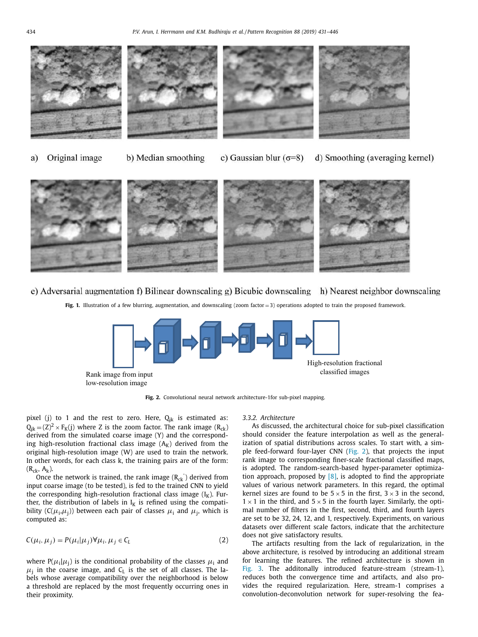<span id="page-3-0"></span>







Original image a)

b) Median smoothing

c) Gaussian blur  $(\sigma=8)$ d) Smoothing (averaging kernel)



## e) Adversarial augmentation f) Bilinear downscaling g) Bicubic downscaling h) Nearest neighbor downscaling

**Fig. 1.** Illustration of a few blurring, augmentation, and downscaling (zoom factor  $=$  3) operations adopted to train the proposed framework.



**Fig. 2.** Convolutional neural network architecture-1for sub-pixel mapping.

pixel (j) to 1 and the rest to zero. Here,  $Q_{jk}$  is estimated as:  $Q_{ik} = (Z)^2 \times F_K(j)$  where Z is the zoom factor. The rank image  $(R_{ck})$ derived from the simulated coarse image (Y) and the corresponding high-resolution fractional class image  $(A_K)$  derived from the original high-resolution image (W) are used to train the network. In other words, for each class k, the training pairs are of the form:  $(R_{ck}, A_k)$ .

Once the network is trained, the rank image  $(R_{ck})$  derived from input coarse image (to be tested), is fed to the trained CNN to yield the corresponding high-resolution fractional class image  $(I_K)$ . Further, the distribution of labels in  $I_K$  is refined using the compatibility ( $C(\mu_i, \mu_i)$ ) between each pair of classes  $\mu_i$  and  $\mu_i$ , which is computed as:

$$
C(\mu_i, \mu_j) = P(\mu_i | \mu_j) \forall \mu_i, \mu_j \in C_L
$$
\n(2)

where  $P(\mu_i|\mu_i)$  is the conditional probability of the classes  $\mu_i$  and  $\mu_i$  in the coarse image, and C<sub>L</sub> is the set of all classes. The labels whose average compatibility over the neighborhood is below a threshold are replaced by the most frequently occurring ones in their proximity.

#### *3.3.2. Architecture*

As discussed, the architectural choice for sub-pixel classification should consider the feature interpolation as well as the generalization of spatial distributions across scales. To start with, a simple feed-forward four-layer CNN (Fig. 2), that projects the input rank image to corresponding finer-scale fractional classified maps, is adopted. The random-search-based hyper-parameter optimization approach, proposed by  $[8]$ , is adopted to find the appropriate values of various network parameters. In this regard, the optimal kernel sizes are found to be  $5 \times 5$  in the first,  $3 \times 3$  in the second,  $1 \times 1$  in the third, and  $5 \times 5$  in the fourth layer. Similarly, the optimal number of filters in the first, second, third, and fourth layers are set to be 32, 24, 12, and 1, respectively. Experiments, on various datasets over different scale factors, indicate that the architecture does not give satisfactory results.

The artifacts resulting from the lack of regularization, in the above architecture, is resolved by introducing an additional stream for learning the features. The refined architecture is shown in [Fig.](#page-4-0) 3. The additonally introduced feature-stream (stream-1), reduces both the convergence time and artifacts, and also provides the required regularization. Here, stream-1 comprises a convolution-deconvolution network for super-resolving the fea-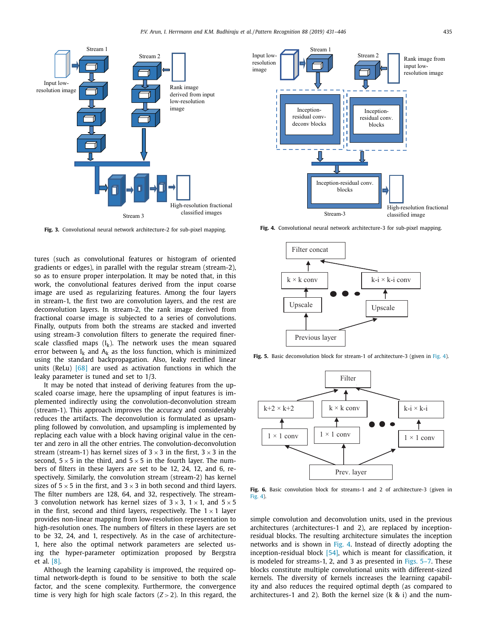<span id="page-4-0"></span>

**Fig. 3.** Convolutional neural network architecture-2 for sub-pixel mapping.

tures (such as convolutional features or histogram of oriented gradients or edges), in parallel with the regular stream (stream-2), so as to ensure proper interpolation. It may be noted that, in this work, the convolutional features derived from the input coarse image are used as regularizing features. Among the four layers in stream-1, the first two are convolution layers, and the rest are deconvolution layers. In stream-2, the rank image derived from fractional coarse image is subjected to a series of convolutions. Finally, outputs from both the streams are stacked and inverted using stream-3 convolution filters to generate the required finerscale classfied maps  $(I_k)$ . The network uses the mean squared error between  $I_k$  and  $A_k$  as the loss function, which is minimized using the standard backpropagation. Also, leaky rectified linear units (ReLu)  $[68]$  are used as activation functions in which the leaky parameter is tuned and set to 1/3.

It may be noted that instead of deriving features from the upscaled coarse image, here the upsampling of input features is implemented indirectly using the convolution-deconvolution stream (stream-1). This approach improves the accuracy and considerably reduces the artifacts. The deconvolution is formulated as upsampling followed by convolution, and upsampling is implemented by replacing each value with a block having original value in the center and zero in all the other entries. The convolution-deconvolution stream (stream-1) has kernel sizes of  $3 \times 3$  in the first,  $3 \times 3$  in the second,  $5 \times 5$  in the third, and  $5 \times 5$  in the fourth layer. The numbers of filters in these layers are set to be 12, 24, 12, and 6, respectively. Similarly, the convolution stream (stream-2) has kernel sizes of  $5 \times 5$  in the first, and  $3 \times 3$  in both second and third layers. The filter numbers are 128, 64, and 32, respectively. The stream-3 convolution network has kernel sizes of  $3 \times 3$ ,  $1 \times 1$ , and  $5 \times 5$ in the first, second and third layers, respectively. The  $1 \times 1$  layer provides non-linear mapping from low-resolution representation to high-resolution ones. The numbers of filters in these layers are set to be 32, 24, and 1, respectively. As in the case of architecture-1, here also the optimal network parameters are selected using the hyper-parameter optimization proposed by Bergstra et al. [\[8\].](#page-14-0)

Although the learning capability is improved, the required optimal network-depth is found to be sensitive to both the scale factor, and the scene complexity. Furthermore, the convergence time is very high for high scale factors (*Z* > 2). In this regard, the



**Fig. 4.** Convolutional neural network architecture-3 for sub-pixel mapping.



Fig. 5. Basic deconvolution block for stream-1 of architecture-3 (given in Fig. 4).



**Fig. 6.** Basic convolution block for streams-1 and 2 of architecture-3 (given in Fig. 4).

simple convolution and deconvolution units, used in the previous architectures (architectures-1 and 2), are replaced by inceptionresidual blocks. The resulting architecture simulates the inception networks and is shown in Fig. 4. Instead of directly adopting the inception-residual block [\[54\],](#page-15-0) which is meant for classification, it is modeled for streams-1, 2, and 3 as presented in Figs. 5–7. These blocks constitute multiple convolutional units with different-sized kernels. The diversity of kernels increases the learning capability and also reduces the required optimal depth (as compared to architectures-1 and 2). Both the kernel size (k & i) and the num-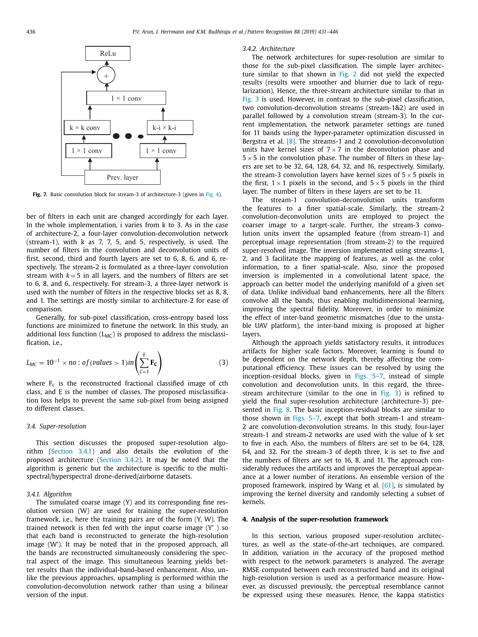<span id="page-5-0"></span>

**Fig. 7.** Basic convolution block for stream-3 of architecture-3 (given in [Fig.](#page-4-0) 4).

ber of filters in each unit are changed accordingly for each layer. In the whole implementation, i varies from k to 3. As in the case of architecture-2, a four-layer convolution-deconvolution network (stream-1), with k as 7, 7, 5, and 5, respectively, is used. The number of filters in the convolution and deconvolution units of first, second, third and fourth layers are set to 6, 8, 6, and 6, respectively. The stream-2 is formulated as a three-layer convolution stream with  $k = 5$  in all layers, and the numbers of filters are set to 6, 8, and 6, respectively. For stream-3, a three-layer network is used with the number of filters in the respective blocks set as 8, 8, and 1. The settings are mostly similar to architecture-2 for ease of comparison.

Generally, for sub-pixel classification, cross-entropy based loss functions are minimized to finetune the network. In this study, an additional loss function  $(L_{MC})$  is proposed to address the misclassification, i.e.,

$$
L_{MC} = 10^{-1} \times no : of (values > 1) in \left(\sum_{C=1}^{E} \mathbf{F_C}\right)
$$
 (3)

where  $F_c$  is the reconstructed fractional classified image of cth class, and E is the number of classes. The proposed misclassification loss helps to prevent the same sub-pixel from being assigned to different classes.

#### *3.4. Super-resolution*

This section discusses the proposed super-resolution algorithm (Section 3.4.1) and also details the evolution of the proposed architecture (Section 3.4.2). It may be noted that the algorithm is generic but the architecture is specific to the multispectral/hyperspectral drone-derived/airborne datasets.

#### *3.4.1. Algorithm*

The simulated coarse image (Y) and its corresponding fine resolution version (W) are used for training the super-resolution framework, i.e., here the training pairs are of the form (Y, W). The trained network is then fed with the input coarse image (Y' ) so that each band is reconstructed to generate the high-resolution image (W'). It may be noted that in the proposed approach, all the bands are reconstructed simultaneously considering the spectral aspect of the image. This simultaneous learning yields better results than the individual-band-based enhancement. Also, unlike the previous approaches, upsampling is performed within the convolution-deconvolution network rather than using a bilinear version of the input.

### *3.4.2. Architecture*

The network architectures for super-resolution are similar to those for the sub-pixel classification. The simple layer architecture similar to that shown in [Fig.](#page-3-0) 2 did not yield the expected results (results were smoother and blurrier due to lack of regularization). Hence, the three-stream architecture similar to that in [Fig.](#page-4-0) 3 is used. However, in contrast to the sub-pixel classification, two convolution-deconvolution streams (stream-1&2) are used in parallel followed by a convolution stream (stream-3). In the current implementation, the network parameter settings are tuned for 11 bands using the hyper-parameter optimization discussed in Bergstra et al. [\[8\].](#page-14-0) The streams-1 and 2 convolution-deconvolution units have kernel sizes of  $7 \times 7$  in the deconvolution phase and  $5 \times 5$  in the convolution phase. The number of filters in these layers are set to be 32, 64, 128, 64, 32, and 16, respectively. Similarly, the stream-3 convolution layers have kernel sizes of  $5 \times 5$  pixels in the first,  $1 \times 1$  pixels in the second, and  $5 \times 5$  pixels in the third layer. The number of filters in these layers are set to be 11.

The stream-1 convolution-deconvolution units transform the features to a finer spatial-scale. Similarly, the stream-2 convolution-deconvolution units are employed to project the coarser image to a target-scale. Further, the stream-3 convolution units invert the upsampled feature (from stream-1) and perceptual image representation (from stream-2) to the required super-resolved image. The inversion implemented using streams-1, 2, and 3 facilitate the mapping of features, as well as the color information, to a finer spatial-scale. Also, since the proposed inversion is implemented in a convolutional latent space, the approach can better model the underlying manifold of a given set of data. Unlike individual band enhancements, here all the filters convolve all the bands, thus enabling multidimensional learning, improving the spectral fidelity. Moreover, in order to minimize the effect of inter-band geometric mismatches (due to the unstable UAV platform), the inter-band mixing is proposed at higher layers.

Although the approach yields satisfactory results, it introduces artifacts for higher scale factors. Moreover, learning is found to be dependent on the network depth, thereby affecting the computational efficiency. These issues can be resolved by using the inception-residual blocks, given in [Figs.](#page-4-0) 5–7, instead of simple convolution and deconvolution units. In this regard, the threestream architecture (similar to the one in [Fig.](#page-4-0) 3) is refined to yield the final super-resolution architecture (architecture-3) presented in [Fig.](#page-6-0) 8. The basic inception-residual blocks are similar to those shown in [Figs.](#page-4-0) 5–7, except that both stream-1 and stream-2 are convolution-deconvolution streams. In this study, four-layer stream-1 and stream-2 networks are used with the value of k set to five in each. Also, the numbers of filters are set to be 64, 128, 64, and 32. For the stream-3 of depth three, k is set to five and the numbers of filters are set to 16, 8, and 11. The approach considerably reduces the artifacts and improves the perceptual appearance at a lower number of iterations. An ensemble version of the proposed framework, inspired by Wang et al. [\[61\],](#page-15-0) is simulated by improving the kernel diversity and randomly selecting a subset of kernels.

#### **4. Analysis of the super-resolution framework**

In this section, various proposed super-resolution architectures, as well as the state-of-the-art techniques, are compared. In addition, variation in the accuracy of the proposed method with respect to the network parameters is analyzed. The average RMSE computed between each reconstructed band and its original high-resolution version is used as a performance measure. However, as discussed previously, the perceptual resemblance cannot be expressed using these measures. Hence, the kappa statistics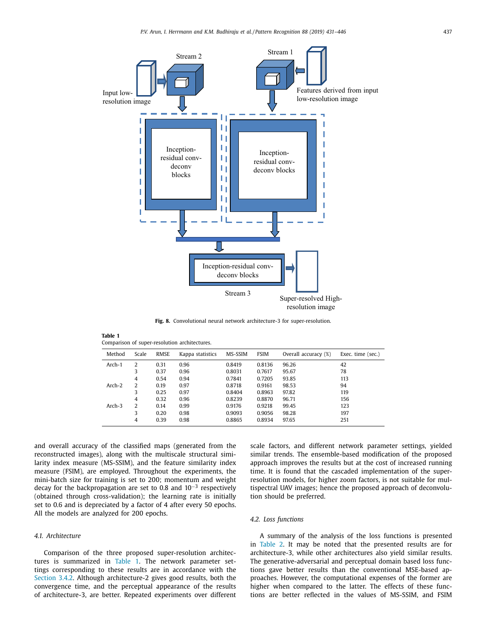<span id="page-6-0"></span>

**Fig. 8.** Convolutional neural network architecture-3 for super-resolution.

| Table 1                                       |
|-----------------------------------------------|
| Comparison of super-resolution architectures. |

| Method   | Scale | <b>RMSE</b> | Kappa statistics | MS-SSIM | <b>FSIM</b> | Overall accuracy (%) | Exec. time (sec.) |
|----------|-------|-------------|------------------|---------|-------------|----------------------|-------------------|
| Arch-1   | 2     | 0.31        | 0.96             | 0.8419  | 0.8136      | 96.26                | 42                |
|          | 3     | 0.37        | 0.96             | 0.8031  | 0.7617      | 95.67                | 78                |
|          | 4     | 0.54        | 0.94             | 0.7841  | 0.7205      | 93.85                | 113               |
| $Arch-2$ | 2     | 0.19        | 0.97             | 0.8718  | 0.9161      | 98.53                | 94                |
|          | 3     | 0.25        | 0.97             | 0.8404  | 0.8963      | 97.82                | 119               |
|          | 4     | 0.32        | 0.96             | 0.8239  | 0.8870      | 96.71                | 156               |
| Arch-3   | 2     | 0.14        | 0.99             | 0.9176  | 0.9218      | 99.45                | 123               |
|          | 3     | 0.20        | 0.98             | 0.9093  | 0.9056      | 98.28                | 197               |
|          | 4     | 0.39        | 0.98             | 0.8865  | 0.8934      | 97.65                | 251               |

and overall accuracy of the classified maps (generated from the reconstructed images), along with the multiscale structural similarity index measure (MS-SSIM), and the feature similarity index measure (FSIM), are employed. Throughout the experiments, the mini-batch size for training is set to 200; momentum and weight decay for the backpropagation are set to 0.8 and 10−<sup>3</sup> respectively (obtained through cross-validation); the learning rate is initially set to 0.6 and is depreciated by a factor of 4 after every 50 epochs. All the models are analyzed for 200 epochs.

### *4.1. Architecture*

Comparison of the three proposed super-resolution architectures is summarized in Table 1. The network parameter settings corresponding to these results are in accordance with the [Section](#page-5-0) 3.4.2. Although architecture-2 gives good results, both the convergence time, and the perceptual appearance of the results of architecture-3, are better. Repeated experiments over different scale factors, and different network parameter settings, yielded similar trends. The ensemble-based modification of the proposed approach improves the results but at the cost of increased running time. It is found that the cascaded implementation of the superresolution models, for higher zoom factors, is not suitable for multispectral UAV images; hence the proposed approach of deconvolution should be preferred.

## *4.2. Loss functions*

A summary of the analysis of the loss functions is presented in [Table](#page-7-0) 2. It may be noted that the presented results are for architecture-3, while other architectures also yield similar results. The generative-adversarial and perceptual domain based loss functions gave better results than the conventional MSE-based approaches. However, the computational expenses of the former are higher when compared to the latter. The effects of these functions are better reflected in the values of MS-SSIM, and FSIM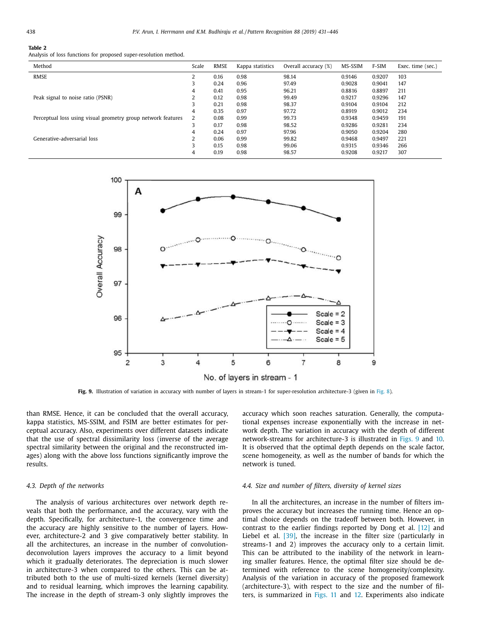### <span id="page-7-0"></span>**Table 2**

Analysis of loss functions for proposed super-resolution method.

| Method                                                       | Scale | <b>RMSE</b> | Kappa statistics | Overall accuracy (%) | MS-SSIM | F-SIM  | Exec. time (sec.) |
|--------------------------------------------------------------|-------|-------------|------------------|----------------------|---------|--------|-------------------|
| RMSE                                                         | 2     | 0.16        | 0.98             | 98.14                | 0.9146  | 0.9207 | 103               |
|                                                              | 3     | 0.24        | 0.96             | 97.49                | 0.9028  | 0.9041 | 147               |
|                                                              | 4     | 0.41        | 0.95             | 96.21                | 0.8816  | 0.8897 | 211               |
| Peak signal to noise ratio (PSNR)                            | 2     | 0.12        | 0.98             | 99.49                | 0.9217  | 0.9296 | 147               |
|                                                              | 3     | 0.21        | 0.98             | 98.37                | 0.9104  | 0.9104 | 212               |
|                                                              | 4     | 0.35        | 0.97             | 97.72                | 0.8919  | 0.9012 | 234               |
| Perceptual loss using visual geometry group network features | 2     | 0.08        | 0.99             | 99.73                | 0.9348  | 0.9459 | 191               |
|                                                              | 3     | 0.17        | 0.98             | 98.52                | 0.9286  | 0.9281 | 234               |
|                                                              | 4     | 0.24        | 0.97             | 97.96                | 0.9050  | 0.9204 | 280               |
| Generative-adversarial loss                                  |       | 0.06        | 0.99             | 99.82                | 0.9468  | 0.9497 | 221               |
|                                                              | 3     | 0.15        | 0.98             | 99.06                | 0.9315  | 0.9346 | 266               |
|                                                              | 4     | 0.19        | 0.98             | 98.57                | 0.9208  | 0.9217 | 307               |



**[Fig.](#page-6-0)** 9. Illustration of variation in accuracy with number of layers in stream-1 for super-resolution architecture-3 (given in Fig. 8).

than RMSE. Hence, it can be concluded that the overall accuracy, kappa statistics, MS-SSIM, and FSIM are better estimates for perceptual accuracy. Also, experiments over different datasets indicate that the use of spectral dissimilarity loss (inverse of the average spectral similarity between the original and the reconstructed images) along with the above loss functions significantly improve the results.

#### *4.3. Depth of the networks*

The analysis of various architectures over network depth reveals that both the performance, and the accuracy, vary with the depth. Specifically, for architecture-1, the convergence time and the accuracy are highly sensitive to the number of layers. However, architecture-2 and 3 give comparatively better stability. In all the architectures, an increase in the number of convolutiondeconvolution layers improves the accuracy to a limit beyond which it gradually deteriorates. The depreciation is much slower in architecture-3 when compared to the others. This can be attributed both to the use of multi-sized kernels (kernel diversity) and to residual learning, which improves the learning capability. The increase in the depth of stream-3 only slightly improves the accuracy which soon reaches saturation. Generally, the computational expenses increase exponentially with the increase in network depth. The variation in accuracy with the depth of different network-streams for architecture-3 is illustrated in Figs. 9 and [10.](#page-8-0) It is observed that the optimal depth depends on the scale factor, scene homogeneity, as well as the number of bands for which the network is tuned.

#### *4.4. Size and number of filters, diversity of kernel sizes*

In all the architectures, an increase in the number of filters improves the accuracy but increases the running time. Hence an optimal choice depends on the tradeoff between both. However, in contrast to the earlier findings reported by Dong et al. [\[12\]](#page-14-0) and Liebel et al. [\[39\],](#page-14-0) the increase in the filter size (particularly in streams-1 and 2) improves the accuracy only to a certain limit. This can be attributed to the inability of the network in learning smaller features. Hence, the optimal filter size should be determined with reference to the scene homogeneity/complexity. Analysis of the variation in accuracy of the proposed framework (architecture-3), with respect to the size and the number of filters, is summarized in [Figs.](#page-8-0) 11 and [12.](#page-9-0) Experiments also indicate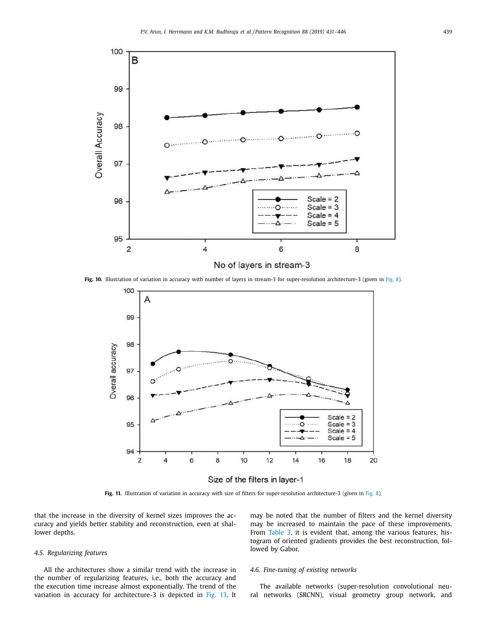<span id="page-8-0"></span>

**Fig. 10.** Illustration of variation in accuracy with number of layers in stream-3 for super-resolution architecture-3 (given in [Fig.](#page-6-0) 8).



Size of the filters in layer-1

**Fig. 11.** Illustration of variation in accuracy with size of filters for super-resolution architecture-3 (given in [Fig.](#page-6-0) 8).

that the increase in the diversity of kernel sizes improves the accuracy and yields better stability and reconstruction, even at shallower depths.

may be noted that the number of filters and the kernel diversity may be increased to maintain the pace of these improvements. From [Table](#page-9-0) 3, it is evident that, among the various features, histogram of oriented gradients provides the best reconstruction, followed by Gabor.

## *4.5. Regularizing features*

All the architectures show a similar trend with the increase in the number of regularizing features, i.e., both the accuracy and the execution time increase almost exponentially. The trend of the variation in accuracy for architecture-3 is depicted in [Fig.](#page-9-0) 13. It

## *4.6. Fine-tuning of existing networks*

The available networks (super-resolution convolutional neural networks (SRCNN), visual geometry group network, and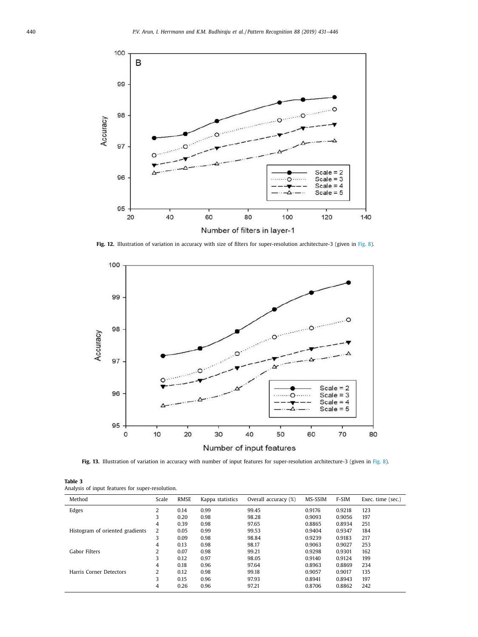<span id="page-9-0"></span>

**Fig. 12.** Illustration of variation in accuracy with size of filters for super-resolution architecture-3 (given in [Fig.](#page-6-0) 8).



**Fig. 13.** Illustration of variation in accuracy with number of input features for super-resolution architecture-3 (given in [Fig.](#page-6-0) 8).

| Table 3 |  |                                                  |
|---------|--|--------------------------------------------------|
|         |  | Analysis of input features for super-resolution. |

| Method                          | Scale | <b>RMSE</b> | Kappa statistics | Overall accuracy (%) | MS-SSIM | F-SIM  | Exec. time (sec.) |
|---------------------------------|-------|-------------|------------------|----------------------|---------|--------|-------------------|
| Edges                           | 2     | 0.14        | 0.99             | 99.45                | 0.9176  | 0.9218 | 123               |
|                                 | 3     | 0.20        | 0.98             | 98.28                | 0.9093  | 0.9056 | 197               |
|                                 | 4     | 0.39        | 0.98             | 97.65                | 0.8865  | 0.8934 | 251               |
| Histogram of oriented gradients | 2     | 0.05        | 0.99             | 99.53                | 0.9404  | 0.9347 | 184               |
|                                 | 3     | 0.09        | 0.98             | 98.84                | 0.9239  | 0.9183 | 217               |
|                                 | 4     | 0.13        | 0.98             | 98.17                | 0.9063  | 0.9027 | 253               |
| Gabor Filters                   | 2     | 0.07        | 0.98             | 99.21                | 0.9298  | 0.9301 | 162               |
|                                 | 3     | 0.12        | 0.97             | 98.05                | 0.9140  | 0.9124 | 199               |
|                                 | 4     | 0.18        | 0.96             | 97.64                | 0.8963  | 0.8869 | 234               |
| Harris Corner Detectors         | 2     | 0.12        | 0.98             | 99.18                | 0.9057  | 0.9017 | 135               |
|                                 | 3     | 0.15        | 0.96             | 97.93                | 0.8941  | 0.8943 | 197               |
|                                 | 4     | 0.26        | 0.96             | 97.21                | 0.8706  | 0.8862 | 242               |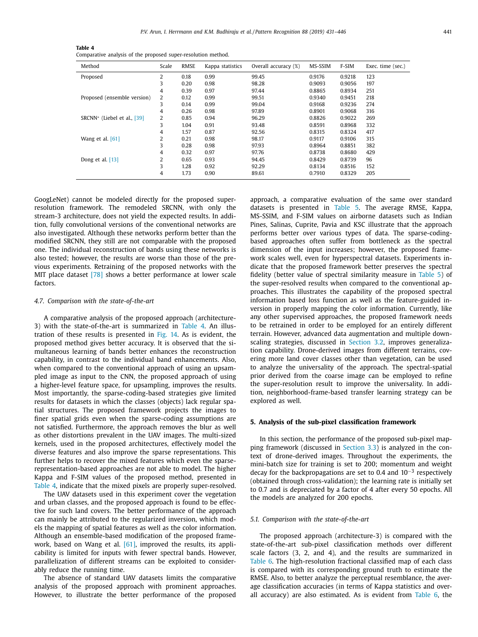| Table 4                                                       |  |
|---------------------------------------------------------------|--|
| Comparative analysis of the proposed super-resolution method. |  |

| Method                                  | Scale          | <b>RMSE</b> | Kappa statistics | Overall accuracy (%) | MS-SSIM | F-SIM  | Exec. time (sec.) |
|-----------------------------------------|----------------|-------------|------------------|----------------------|---------|--------|-------------------|
| Proposed                                | 2              | 0.18        | 0.99             | 99.45                | 0.9176  | 0.9218 | 123               |
|                                         | 3              | 0.20        | 0.98             | 98.28                | 0.9093  | 0.9056 | 197               |
|                                         | 4              | 0.39        | 0.97             | 97.44                | 0.8865  | 0.8934 | 251               |
| Proposed (ensemble version)             | 2              | 0.12        | 0.99             | 99.51                | 0.9340  | 0.9451 | 218               |
|                                         | 3              | 0.14        | 0.99             | 99.04                | 0.9168  | 0.9236 | 274               |
|                                         | 4              | 0.26        | 0.98             | 97.89                | 0.8901  | 0.9068 | 316               |
| SRCNN <sup>*</sup> (Liebel et al., [39] | $\overline{2}$ | 0.85        | 0.94             | 96.29                | 0.8826  | 0.9022 | 269               |
|                                         | 3              | 1.04        | 0.91             | 93.48                | 0.8591  | 0.8968 | 332               |
|                                         | 4              | 1.57        | 0.87             | 92.56                | 0.8315  | 0.8324 | 417               |
| Wang et al. $[61]$                      | 2              | 0.21        | 0.98             | 98.17                | 0.9117  | 0.9106 | 315               |
|                                         | 3              | 0.28        | 0.98             | 97.93                | 0.8964  | 0.8851 | 382               |
|                                         | 4              | 0.32        | 0.97             | 97.76                | 0.8738  | 0.8680 | 429               |
| Dong et al. [13]                        | 2              | 0.65        | 0.93             | 94.45                | 0.8429  | 0.8739 | 96                |
|                                         | 3              | 1.28        | 0.92             | 92.29                | 0.8134  | 0.8516 | 152               |
|                                         | 4              | 1.73        | 0.90             | 89.61                | 0.7910  | 0.8329 | 205               |

GoogLeNet) cannot be modeled directly for the proposed superresolution framework. The remodeled SRCNN, with only the stream-3 architecture, does not yield the expected results. In addition, fully convolutional versions of the conventional networks are also investigated. Although these networks perform better than the modified SRCNN, they still are not comparable with the proposed one. The individual reconstruction of bands using these networks is also tested; however, the results are worse than those of the previous experiments. Retraining of the proposed networks with the MIT place dataset [\[78\]](#page-15-0) shows a better performance at lower scale factors.

### *4.7. Comparison with the state-of-the-art*

A comparative analysis of the proposed approach (architecture-3) with the state-of-the-art is summarized in Table 4. An illustration of these results is presented in [Fig.](#page-11-0) 14. As is evident, the proposed method gives better accuracy. It is observed that the simultaneous learning of bands better enhances the reconstruction capability, in contrast to the individual band enhancements. Also, when compared to the conventional approach of using an upsampled image as input to the CNN, the proposed approach of using a higher-level feature space, for upsampling, improves the results. Most importantly, the sparse-coding-based strategies give limited results for datasets in which the classes (objects) lack regular spatial structures. The proposed framework projects the images to finer spatial grids even when the sparse-coding assumptions are not satisfied. Furthermore, the approach removes the blur as well as other distortions prevalent in the UAV images. The multi-sized kernels, used in the proposed architectures, effectively model the diverse features and also improve the sparse representations. This further helps to recover the mixed features which even the sparserepresentation-based approaches are not able to model. The higher Kappa and F-SIM values of the proposed method, presented in Table 4, indicate that the mixed pixels are properly super-resolved.

The UAV datasets used in this experiment cover the vegetation and urban classes, and the proposed approach is found to be effective for such land covers. The better performance of the approach can mainly be attributed to the regularized inversion, which models the mapping of spatial features as well as the color information. Although an ensemble-based modification of the proposed frame-work, based on Wang et al. [\[61\],](#page-15-0) improved the results, its applicability is limited for inputs with fewer spectral bands. However, parallelization of different streams can be exploited to considerably reduce the running time.

The absence of standard UAV datasets limits the comparative analysis of the proposed approach with prominent approaches. However, to illustrate the better performance of the proposed

approach, a comparative evaluation of the same over standard datasets is presented in [Table](#page-11-0) 5. The average RMSE, Kappa, MS-SSIM, and F-SIM values on airborne datasets such as Indian Pines, Salinas, Cuprite, Pavia and KSC illustrate that the approach performs better over various types of data. The sparse-codingbased approaches often suffer from bottleneck as the spectral dimension of the input increases; however, the proposed framework scales well, even for hyperspectral datasets. Experiments indicate that the proposed framework better preserves the spectral fidelity (better value of spectral similarity measure in [Table](#page-11-0) 5) of the super-resolved results when compared to the conventional approaches. This illustrates the capability of the proposed spectral information based loss function as well as the feature-guided inversion in properly mapping the color information. Currently, like any other supervised approaches, the proposed framework needs to be retrained in order to be employed for an entirely different terrain. However, advanced data augmentation and multiple downscaling strategies, discussed in [Section](#page-2-0) 3.2, improves generalization capability. Drone-derived images from different terrains, covering more land cover classes other than vegetation, can be used to analyze the universality of the approach. The spectral-spatial prior derived from the coarse image can be employed to refine the super-resolution result to improve the universality. In addition, neighborhood-frame-based transfer learning strategy can be explored as well.

#### **5. Analysis of the sub-pixel classification framework**

In this section, the performance of the proposed sub-pixel mapping framework (discussed in [Section](#page-2-0) 3.3) is analyzed in the context of drone-derived images. Throughout the experiments, the mini-batch size for training is set to 200; momentum and weight decay for the backpropagations are set to 0.4 and 10−<sup>3</sup> respectively (obtained through cross-validation); the learning rate is initially set to 0.7 and is depreciated by a factor of 4 after every 50 epochs. All the models are analyzed for 200 epochs.

#### *5.1. Comparison with the state-of-the-art*

The proposed approach (architecture-3) is compared with the state-of-the-art sub-pixel classification methods over different scale factors (3, 2, and 4), and the results are summarized in [Table](#page-11-0) 6. The high-resolution fractional classified map of each class is compared with its corresponding ground truth to estimate the RMSE. Also, to better analyze the perceptual resemblance, the average classification accuracies (in terms of Kappa statistics and overall accuracy) are also estimated. As is evident from [Table](#page-11-0) 6, the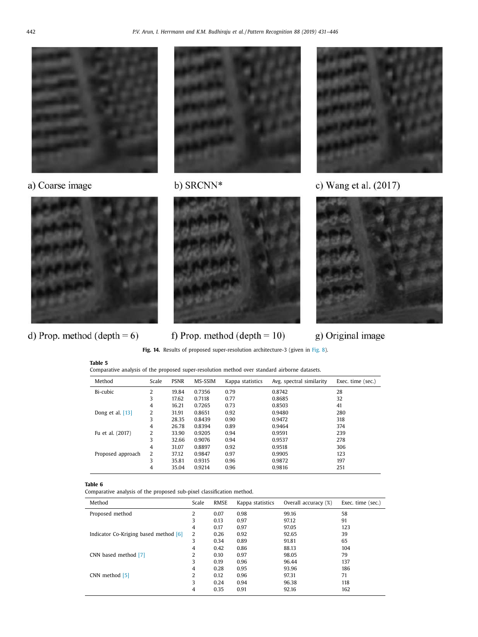<span id="page-11-0"></span>

# a) Coarse image



# d) Prop. method (depth =  $6$ )



# b) SRCNN\*



# f) Prop. method (depth  $= 10$ )



# c) Wang et al. (2017)



# g) Original image

**Fig. 14.** Results of proposed super-resolution architecture-3 (given in [Fig.](#page-6-0) 8).

| Table 5                                                                                       |  |  |
|-----------------------------------------------------------------------------------------------|--|--|
| Comparative analysis of the proposed super-resolution method over standard airborne datasets. |  |  |

| Method             | Scale | <b>PSNR</b> | <b>MS-SSIM</b> | Kappa statistics | Avg. spectral similarity | Exec. time (sec.) |
|--------------------|-------|-------------|----------------|------------------|--------------------------|-------------------|
| Bi-cubic           | 2     | 19.84       | 0.7356         | 0.79             | 0.8742                   | 28                |
|                    | 3     | 17.62       | 0.7118         | 0.77             | 0.8685                   | 32                |
|                    | 4     | 16.21       | 0.7265         | 0.73             | 0.8503                   | 41                |
| Dong et al. $[13]$ | 2     | 31.91       | 0.8651         | 0.92             | 0.9480                   | 280               |
|                    | 3     | 28.35       | 0.8439         | 0.90             | 0.9472                   | 318               |
|                    | 4     | 26.78       | 0.8394         | 0.89             | 0.9464                   | 374               |
| Fu et al. (2017)   | 2     | 33.90       | 0.9205         | 0.94             | 0.9591                   | 239               |
|                    | 3     | 32.66       | 0.9076         | 0.94             | 0.9537                   | 278               |
|                    | 4     | 31.07       | 0.8897         | 0.92             | 0.9518                   | 306               |
| Proposed approach  | 2     | 37.12       | 0.9847         | 0.97             | 0.9905                   | 123               |
|                    | 3     | 35.81       | 0.9315         | 0.96             | 0.9872                   | 197               |
|                    | 4     | 35.04       | 0.9214         | 0.96             | 0.9816                   | 251               |

## **Table 6**

Comparative analysis of the proposed sub-pixel classification method.

| Method                                | Scale | <b>RMSE</b> | Kappa statistics | Overall accuracy (%) | Exec. time (sec.) |
|---------------------------------------|-------|-------------|------------------|----------------------|-------------------|
| Proposed method                       | 2     | 0.07        | 0.98             | 99.16                | 58                |
|                                       | 3     | 0.13        | 0.97             | 97.12                | 91                |
|                                       | 4     | 0.17        | 0.97             | 97.05                | 123               |
| Indicator Co-Kriging based method [6] | 2     | 0.26        | 0.92             | 92.65                | 39                |
|                                       | 3     | 0.34        | 0.89             | 91.81                | 65                |
|                                       | 4     | 0.42        | 0.86             | 88.13                | 104               |
| CNN based method [7]                  | 2     | 0.10        | 0.97             | 98.05                | 79                |
|                                       | 3     | 0.19        | 0.96             | 96.44                | 137               |
|                                       | 4     | 0.28        | 0.95             | 93.96                | 186               |
| CNN method [5]                        | 2     | 0.12        | 0.96             | 97.31                | 71                |
|                                       | 3     | 0.24        | 0.94             | 96.38                | 118               |
|                                       | 4     | 0.35        | 0.91             | 92.16                | 162               |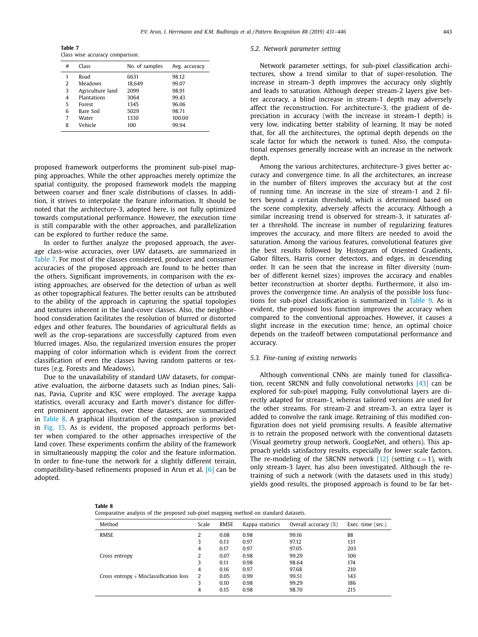**Table 7** Class wise accuracy comparison.

| # | Class            | No. of samples | Avg. accuracy |
|---|------------------|----------------|---------------|
| 1 | Road             | 6631           | 98.12         |
| 2 | Meadows          | 18.649         | 99.07         |
| 3 | Agriculture land | 2099           | 98.91         |
| 4 | Plantations      | 3064           | 99.43         |
| 5 | Forest           | 1345           | 96.06         |
| 6 | Bare Soil        | 5029           | 98.71         |
| 7 | Water            | 1330           | 100.00        |
| 8 | Vehicle          | 100            | 99.94         |
|   |                  |                |               |

proposed framework outperforms the prominent sub-pixel mapping approaches. While the other approaches merely optimize the spatial contiguity, the proposed framework models the mapping between coarser and finer scale distributions of classes. In addition, it strives to interpolate the feature information. It should be noted that the architecture-3, adopted here, is not fully optimized towards computational performance. However, the execution time is still comparable with the other approaches, and parallelization can be explored to further reduce the same.

In order to further analyze the proposed approach, the average class-wise accuracies, over UAV datasets, are summarized in Table 7. For most of the classes considered, producer and consumer accuracies of the proposed approach are found to be better than the others. Significant improvements, in comparison with the existing approaches, are observed for the detection of urban as well as other topographical features. The better results can be attributed to the ability of the approach in capturing the spatial topologies and textures inherent in the land-cover classes. Also, the neighborhood consideration facilitates the resolution of blurred or distorted edges and other features. The boundaries of agricultural fields as well as the crop-separations are successfully captured from even blurred images. Also, the regularized inversion ensures the proper mapping of color information which is evident from the correct classification of even the classes having random patterns or textures (e.g. Forests and Meadows).

Due to the unavailability of standard UAV datasets, for comparative evaluation, the airborne datasets such as Indian pines, Salinas, Pavia, Cuprite and KSC were employed. The average kappa statistics, overall accuracy and Earth mover's distance for different prominent approaches, over these datasets, are summarized in Table 8. A graphical illustration of the comparison is provided in [Fig.](#page-13-0) 15. As is evident, the proposed approach performs better when compared to the other approaches irrespective of the land cover. These experiments confirm the ability of the framework in simultaneously mapping the color and the feature information. In order to fine-tune the network for a slightly different terrain, compatibility-based refinements proposed in Arun et al. [\[6\]](#page-14-0) can be adopted.

#### *5.2. Network parameter setting*

Network parameter settings, for sub-pixel classification architectures, show a trend similar to that of super-resolution. The increase in stream-3 depth improves the accuracy only slightly and leads to saturation. Although deeper stream-2 layers give better accuracy, a blind increase in stream-1 depth may adversely affect the reconstruction. For architecture-3, the gradient of depreciation in accuracy (with the increase in stream-1 depth) is very low, indicating better stability of learning. It may be noted that, for all the architectures, the optimal depth depends on the scale factor for which the network is tuned. Also, the computational expenses generally increase with an increase in the network depth.

Among the various architectures, architecture-3 gives better accuracy and convergence time. In all the architectures, an increase in the number of filters improves the accuracy but at the cost of running time. An increase in the size of stream-1 and 2 filters beyond a certain threshold, which is determined based on the scene complexity, adversely affects the accuracy. Although a similar increasing trend is observed for stream-3, it saturates after a threshold. The increase in number of regularizing features improves the accuracy, and more filters are needed to avoid the saturation. Among the various features, convolutional features give the best results followed by Histogram of Oriented Gradients, Gabor filters, Harris corner detectors, and edges, in descending order. It can be seen that the increase in filter diversity (number of different kernel sizes) improves the accuracy and enables better reconstruction at shorter depths. Furthermore, it also improves the convergence time. An analysis of the possible loss functions for sub-pixel classification is summarized in [Table](#page-13-0) 9. As is evident, the proposed loss function improves the accuracy when compared to the conventional approaches. However, it causes a slight increase in the execution time; hence, an optimal choice depends on the tradeoff between computational performance and accuracy.

#### *5.3. Fine-tuning of existing networks*

Although conventional CNNs are mainly tuned for classification, recent SRCNN and fully convolutional networks [\[43\]](#page-14-0) can be explored for sub-pixel mapping. Fully convolutional layers are directly adapted for stream-1, whereas tailored versions are used for the other streams. For stream-2 and stream-3, an extra layer is added to convolve the rank image. Retraining of this modified configuration does not yield promising results. A feasible alternative is to retrain the proposed network with the conventional datasets (Visual geometry group network, GoogLeNet, and others). This approach yields satisfactory results, especially for lower scale factors. The re-modeling of the SRCNN network [\[12\]](#page-14-0) (setting  $c = 1$ ), with only stream-3 layer, has also been investigated. Although the retraining of such a network (with the datasets used in this study) yields good results, the proposed approach is found to be far bet-

| ---- |  |
|------|--|
|------|--|

| Comparative analysis of the proposed sub-pixel mapping method on standard datasets. |  |  |  |  |  |  |  |  |  |
|-------------------------------------------------------------------------------------|--|--|--|--|--|--|--|--|--|
|-------------------------------------------------------------------------------------|--|--|--|--|--|--|--|--|--|

| Method                                   | Scale | RMSE | Kappa statistics | Overall accuracy (%) | Exec. time (sec.) |
|------------------------------------------|-------|------|------------------|----------------------|-------------------|
| RMSE                                     | 2     | 0.08 | 0.98             | 99.16                | 88                |
|                                          | 3     | 0.13 | 0.97             | 97.12                | 131               |
|                                          | 4     | 0.17 | 0.97             | 97.05                | 203               |
| Cross entropy                            | 2     | 0.07 | 0.98             | 99.29                | 106               |
|                                          | 3     | 0.11 | 0.98             | 98.64                | 174               |
|                                          | 4     | 0.16 | 0.97             | 97.68                | 210               |
| Cross entropy $+$ Misclassification loss | 2     | 0.05 | 0.99             | 99.51                | 143               |
|                                          | 3     | 0.10 | 0.98             | 99.29                | 186               |
|                                          | 4     | 0.15 | 0.98             | 98.70                | 215               |
|                                          |       |      |                  |                      |                   |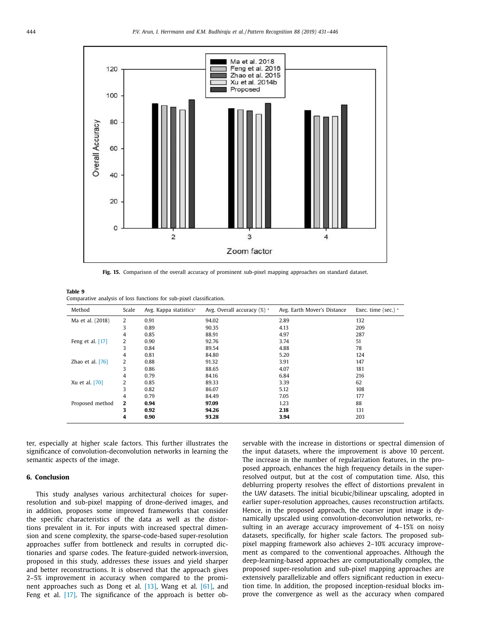<span id="page-13-0"></span>

**Fig. 15.** Comparison of the overall accuracy of prominent sub-pixel mapping approaches on standard dataset.

| Table 9 |                                                                      |
|---------|----------------------------------------------------------------------|
|         | Comparative analysis of loss functions for sub-pixel classification. |

| Method             | Scale        | Avg. Kappa statistics* | Avg. Overall accuracy (%) * | Avg. Earth Mover's Distance | Exec. time (sec.) $*$ |
|--------------------|--------------|------------------------|-----------------------------|-----------------------------|-----------------------|
| Ma et al. (2018)   | 2            | 0.91                   | 94.02                       | 2.89                        | 132                   |
|                    | 3            | 0.89                   | 90.35                       | 4.13                        | 209                   |
|                    | 4            | 0.85                   | 88.91                       | 4.97                        | 287                   |
| Feng et al. [17]   | 2            | 0.90                   | 92.76                       | 3.74                        | 51                    |
|                    | 3            | 0.84                   | 89.54                       | 4.88                        | 78                    |
|                    | 4            | 0.81                   | 84.80                       | 5.20                        | 124                   |
| Zhao et al. $[76]$ | 2            | 0.88                   | 91.32                       | 3.91                        | 147                   |
|                    | 3            | 0.86                   | 88.65                       | 4.07                        | 181                   |
|                    | 4            | 0.79                   | 84.16                       | 6.84                        | 216                   |
| Xu et al. [70]     | 2            | 0.85                   | 89.33                       | 3.39                        | 62                    |
|                    | 3            | 0.82                   | 86.07                       | 5.12                        | 108                   |
|                    | 4            | 0.79                   | 84.49                       | 7.05                        | 177                   |
| Proposed method    | $\mathbf{2}$ | 0.94                   | 97.09                       | 1.23                        | 88                    |
|                    | 3            | 0.92                   | 94.26                       | 2.18                        | 131                   |
|                    | 4            | 0.90                   | 93.28                       | 3.94                        | 203                   |

ter, especially at higher scale factors. This further illustrates the significance of convolution-deconvolution networks in learning the semantic aspects of the image.

## **6. Conclusion**

This study analyses various architectural choices for superresolution and sub-pixel mapping of drone-derived images, and in addition, proposes some improved frameworks that consider the specific characteristics of the data as well as the distortions prevalent in it. For inputs with increased spectral dimension and scene complexity, the sparse-code-based super-resolution approaches suffer from bottleneck and results in corrupted dictionaries and sparse codes. The feature-guided network-inversion, proposed in this study, addresses these issues and yield sharper and better reconstructions. It is observed that the approach gives 2–5% improvement in accuracy when compared to the prominent approaches such as Dong et al. [\[13\],](#page-14-0) Wang et al. [\[61\],](#page-15-0) and Feng et al. [\[17\].](#page-14-0) The significance of the approach is better observable with the increase in distortions or spectral dimension of the input datasets, where the improvement is above 10 percent. The increase in the number of regularization features, in the proposed approach, enhances the high frequency details in the superresolved output, but at the cost of computation time. Also, this deblurring property resolves the effect of distortions prevalent in the UAV datasets. The initial bicubic/bilinear upscaling, adopted in earlier super-resolution approaches, causes reconstruction artifacts. Hence, in the proposed approach, the coarser input image is dynamically upscaled using convolution-deconvolution networks, resulting in an average accuracy improvement of 4–15% on noisy datasets, specifically, for higher scale factors. The proposed subpixel mapping framework also achieves 2–10% accuracy improvement as compared to the conventional approaches. Although the deep-learning-based approaches are computationally complex, the proposed super-resolution and sub-pixel mapping approaches are extensively parallelizable and offers significant reduction in execution time. In addition, the proposed inception-residual blocks improve the convergence as well as the accuracy when compared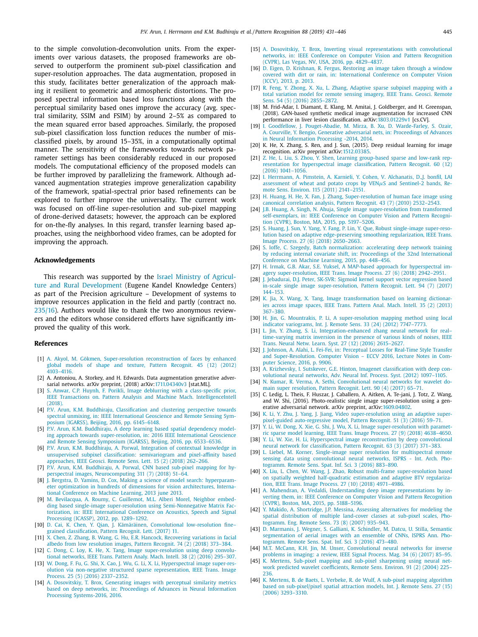<span id="page-14-0"></span>to the simple convolution-deconvolution units. From the experiments over various datasets, the proposed frameworks are observed to outperform the prominent sub-pixel classification and super-resolution approaches. The data augmentation, proposed in this study, facilitates better generalization of the approach making it resilient to geometric and atmospheric distortions. The proposed spectral information based loss functions along with the perceptual similarity based ones improve the accuracy (avg. spectral similarity, SSIM and FSIM) by around 2–5% as compared to the mean squared error based approaches. Similarly, the proposed sub-pixel classification loss function reduces the number of misclassified pixels, by around 15–35%, in a computationally optimal manner. The sensitivity of the frameworks towards network parameter settings has been considerably reduced in our proposed models. The computational efficiency of the proposed models can be further improved by parallelizing the framework. Although advanced augmentation strategies improve generalization capability of the framework, spatial-spectral prior based refinements can be explored to further improve the universality. The current work was focused on off-line super-resolution and sub-pixel mapping of drone-derived datasets; however, the approach can be explored for on-the-fly analyses. In this regard, transfer learning based approaches, using the neighborhood video frames, can be adopted for improving the approach.

#### **Acknowledgements**

This research was supported by the Israel Ministry of Agriculture and Rural [Development](http://dx.doi.org/10.13039/501100004576) (Eugene Kandel Knowledge Centers) as part of the Precision agriculture – Development of systems to improve resources application in the field and partly (contract no. 235/16). Authors would like to thank the two anonymous reviewers and the editors whose considered efforts have significantly improved the quality of this work.

#### **References**

- [1] A. [Akyol,](http://refhub.elsevier.com/S0031-3203(18)30421-7/sbref0001) M. [Gökmen,](http://refhub.elsevier.com/S0031-3203(18)30421-7/sbref0001) [Super-resolution](http://refhub.elsevier.com/S0031-3203(18)30421-7/sbref0001) reconstruction of faces by enhanced global models of shape and texture, Pattern Recognit. 45 (12) (2012) 4103–4116.
- [2] A. Antoniou, A. Storkey, and H. Edwards. Data augmentation generative adversarial networks. arXiv preprint, (2018) arXiv[:1711.04340v3](http://arXiv:1711.04340v3) [stat.ML].
- [3] S. [Anwar,](http://refhub.elsevier.com/S0031-3203(18)30421-7/sbref0002) C.P. [Huynh,](http://refhub.elsevier.com/S0031-3203(18)30421-7/sbref0002) F. [Porikli,](http://refhub.elsevier.com/S0031-3203(18)30421-7/sbref0002) Image deblurring with a class-specific prior, IEEE Transactions on. Pattern Analysis and Machine Mach. [IntelligenceIntell](http://refhub.elsevier.com/S0031-3203(18)30421-7/sbref0002) (2018).
- [4] P.V. [Arun,](http://refhub.elsevier.com/S0031-3203(18)30421-7/sbref0004) K.M. [Buddhiraju,](http://refhub.elsevier.com/S0031-3203(18)30421-7/sbref0004) [Classification](http://refhub.elsevier.com/S0031-3203(18)30421-7/sbref0004) and clustering perspective towards spectral unmixing, in: IEEE International Geoscience and Remote Sensing Symposium (IGARSS), Beijing, 2016, pp. 6145–6148.
- [5] P.V. [Arun,](http://refhub.elsevier.com/S0031-3203(18)30421-7/sbref0005) K.M. [Buddhiraju,](http://refhub.elsevier.com/S0031-3203(18)30421-7/sbref0005) A deep learning based spatial dependency modeling approach towards [super-resolution,](http://refhub.elsevier.com/S0031-3203(18)30421-7/sbref0005) in: 2016 IEEE International Geoscience and Remote Sensing Symposium (IGARSS), Beijing, 2016, pp. 6533–6536.
- [6] P.V. [Arun,](http://refhub.elsevier.com/S0031-3203(18)30421-7/sbref0006) K.M. [Buddhiraju,](http://refhub.elsevier.com/S0031-3203(18)30421-7/sbref0006) A. [Porwal,](http://refhub.elsevier.com/S0031-3203(18)30421-7/sbref0006) Integration of contextual knowledge in unsupervised subpixel classification: [semivariogram](http://refhub.elsevier.com/S0031-3203(18)30421-7/sbref0006) and pixel-affinity based approaches, IEEE Geosci. Remote Sens. Lett. 15 (2) (2018) 262–266.
- [7] P.V. [Arun,](http://refhub.elsevier.com/S0031-3203(18)30421-7/sbref0007) K.M. [Buddhiraju,](http://refhub.elsevier.com/S0031-3203(18)30421-7/sbref0007) A. [Porwal,](http://refhub.elsevier.com/S0031-3203(18)30421-7/sbref0007) CNN based sub-pixel mapping for hyperspectral images, [Neurocomputing](http://refhub.elsevier.com/S0031-3203(18)30421-7/sbref0007) 311 (7) (2018) 51–64.
- [8] J. [Bergstra,](http://refhub.elsevier.com/S0031-3203(18)30421-7/sbref0008) D. [Yamins,](http://refhub.elsevier.com/S0031-3203(18)30421-7/sbref0008) D. [Cox,](http://refhub.elsevier.com/S0031-3203(18)30421-7/sbref0008) Making a science of model search: hyperparameter optimization in hundreds of dimensions for vision [architectures,](http://refhub.elsevier.com/S0031-3203(18)30421-7/sbref0008) International Conference on Machine Learning, 2013 june 2013.
- [9] M. [Bevilacqua,](http://refhub.elsevier.com/S0031-3203(18)30421-7/sbref0009) A. [Roumy,](http://refhub.elsevier.com/S0031-3203(18)30421-7/sbref0009) C. [Guillemot,](http://refhub.elsevier.com/S0031-3203(18)30421-7/sbref0009) M.L. Alberi [Morel,](http://refhub.elsevier.com/S0031-3203(18)30421-7/sbref0009) Neighbor embedding based single-image super-resolution using [Semi-Nonnegative](http://refhub.elsevier.com/S0031-3203(18)30421-7/sbref0009) Matrix Factorization, in: IEEE International Conference on Acoustics, Speech and Signal Processing (ICASSP), 2012, pp. 1289–1292.
- [10] D. [Cai,](http://refhub.elsevier.com/S0031-3203(18)30421-7/sbref0010) K. [Chen,](http://refhub.elsevier.com/S0031-3203(18)30421-7/sbref0010) Y. [Qian,](http://refhub.elsevier.com/S0031-3203(18)30421-7/sbref0010) J. [Kämäräinen,](http://refhub.elsevier.com/S0031-3203(18)30421-7/sbref0010) Convolutional [low-resolution](http://refhub.elsevier.com/S0031-3203(18)30421-7/sbref0010) fine– grained classification, Pattern Recognit. Lett. (2017) 11.
- [11] X. [Chen,](http://refhub.elsevier.com/S0031-3203(18)30421-7/sbref0011) Z. [Zhang,](http://refhub.elsevier.com/S0031-3203(18)30421-7/sbref0011) B. [Wang,](http://refhub.elsevier.com/S0031-3203(18)30421-7/sbref0011) G. [Hu,](http://refhub.elsevier.com/S0031-3203(18)30421-7/sbref0011) E.R. [Hancock,](http://refhub.elsevier.com/S0031-3203(18)30421-7/sbref0011) [Recovering](http://refhub.elsevier.com/S0031-3203(18)30421-7/sbref0011) variations in facial albedo from low resolution images, Pattern Recognit. 74  $(2)$  (2018) 373–384.
- [12] C. [Dong,](http://refhub.elsevier.com/S0031-3203(18)30421-7/sbref0012) C. [Loy,](http://refhub.elsevier.com/S0031-3203(18)30421-7/sbref0012) K. [He,](http://refhub.elsevier.com/S0031-3203(18)30421-7/sbref0012) X. [Tang,](http://refhub.elsevier.com/S0031-3203(18)30421-7/sbref0012) Image [super-resolution](http://refhub.elsevier.com/S0031-3203(18)30421-7/sbref0012) using deep convolutional networks, IEEE Trans. Pattern Analy. Mach. Intell. 38 (2) (2016) 295–307.
- [13] W. [Dong,](http://refhub.elsevier.com/S0031-3203(18)30421-7/sbref0013) F. [Fu,](http://refhub.elsevier.com/S0031-3203(18)30421-7/sbref0013) G. [Shi,](http://refhub.elsevier.com/S0031-3203(18)30421-7/sbref0013) X. [Cao,](http://refhub.elsevier.com/S0031-3203(18)30421-7/sbref0013) J. [Wu,](http://refhub.elsevier.com/S0031-3203(18)30421-7/sbref0013) G. [Li,](http://refhub.elsevier.com/S0031-3203(18)30421-7/sbref0013) [X.](http://refhub.elsevier.com/S0031-3203(18)30421-7/sbref0013) Li, Hyperspectral image super-resolution via non-negative structured sparse [representation,](http://refhub.elsevier.com/S0031-3203(18)30421-7/sbref0013) IEEE Trans. Image Process. 25 (5) (2016) 2337–2352.
- [14] A. [Dosovitskiy,](http://refhub.elsevier.com/S0031-3203(18)30421-7/sbref0014) T. [Brox,](http://refhub.elsevier.com/S0031-3203(18)30421-7/sbref0014) Generating images with perceptual similarity metrics based on deep networks, in: Proceedings of Advances in Neural Information Processing [Systems-2016,](http://refhub.elsevier.com/S0031-3203(18)30421-7/sbref0014) 2016.
- [15] A. [Dosovitskiy,](http://refhub.elsevier.com/S0031-3203(18)30421-7/sbref0015) T. [Brox,](http://refhub.elsevier.com/S0031-3203(18)30421-7/sbref0015) Inverting visual [representations](http://refhub.elsevier.com/S0031-3203(18)30421-7/sbref0015) with convolutional networks, in: IEEE Conference on Computer Vision and Pattern Recognition (CVPR), Las Vegas, NV, USA, 2016, pp. 4829–4837.
- [16] D. [Eigen,](http://refhub.elsevier.com/S0031-3203(18)30421-7/sbref0016) D. [Krishnan,](http://refhub.elsevier.com/S0031-3203(18)30421-7/sbref0016) R. [Fergus,](http://refhub.elsevier.com/S0031-3203(18)30421-7/sbref0016) Restoring an image taken through a window covered with dirt or rain, in: [International](http://refhub.elsevier.com/S0031-3203(18)30421-7/sbref0016) Conference on Computer Vision (ICCV), 2013, p. 2013.
- [17] R. [Feng,](http://refhub.elsevier.com/S0031-3203(18)30421-7/sbref0017) Y. [Zhong,](http://refhub.elsevier.com/S0031-3203(18)30421-7/sbref0017) X. [Xu,](http://refhub.elsevier.com/S0031-3203(18)30421-7/sbref0017) L. [Zhang,](http://refhub.elsevier.com/S0031-3203(18)30421-7/sbref0017) Adaptive sparse subpixel mapping with a total variation model for remote sensing imagery, IEEE Trans. Geosci. Remote Sens. 54 (5) (2016) [2855–2872.](http://refhub.elsevier.com/S0031-3203(18)30421-7/sbref0017)
- [18] M. Frid-Adar, I. Diamant, E. Klang, M. Amitai, J. Goldberger, and H. Greenspan, (2018). GAN-based synthetic medical image augmentation for increased CNN performance in liver lesion classification. arXiv[:1803.01229v1](http://arXiv:1803.01229v1) [cs.CV].
- [19] I. [Goodfellow,](http://refhub.elsevier.com/S0031-3203(18)30421-7/sbref0018) J. [Pouget-Abadie,](http://refhub.elsevier.com/S0031-3203(18)30421-7/sbref0018) M. [Mirza,](http://refhub.elsevier.com/S0031-3203(18)30421-7/sbref0018) B. [Xu,](http://refhub.elsevier.com/S0031-3203(18)30421-7/sbref0018) D. [Warde-Farley,](http://refhub.elsevier.com/S0031-3203(18)30421-7/sbref0018) S. [Ozair,](http://refhub.elsevier.com/S0031-3203(18)30421-7/sbref0018) A. [Courville,](http://refhub.elsevier.com/S0031-3203(18)30421-7/sbref0018) Y. [Bengio,](http://refhub.elsevier.com/S0031-3203(18)30421-7/sbref0018) Generative adversarial nets, in: [Proceedings](http://refhub.elsevier.com/S0031-3203(18)30421-7/sbref0018) of Advances in Neural Information Processing -2014, 2014.
- [20] K. He, X. Zhang, S. Ren, and J. Sun, (2015). Deep residual learning for image recognition. arXiv preprint arXiv[:1512.03385.](http://arXiv:1512.03385)
- [21] Z. [He,](http://refhub.elsevier.com/S0031-3203(18)30421-7/sbref0019) L. [Liu,](http://refhub.elsevier.com/S0031-3203(18)30421-7/sbref0019) S. [Zhou,](http://refhub.elsevier.com/S0031-3203(18)30421-7/sbref0019) Y. [Shen,](http://refhub.elsevier.com/S0031-3203(18)30421-7/sbref0019) Learning group-based sparse and low-rank representation for [hyperspectral](http://refhub.elsevier.com/S0031-3203(18)30421-7/sbref0019) image classification, Pattern Recognit. 60 (12) (2016) 1041–1056.
- [22] I. [Herrmann,](http://refhub.elsevier.com/S0031-3203(18)30421-7/sbref0020) A. [Pimstein,](http://refhub.elsevier.com/S0031-3203(18)30421-7/sbref0020) A. [Karnieli,](http://refhub.elsevier.com/S0031-3203(18)30421-7/sbref0020) Y. [Cohen,](http://refhub.elsevier.com/S0031-3203(18)30421-7/sbref0020) V. [Alchanatis,](http://refhub.elsevier.com/S0031-3203(18)30421-7/sbref0020) D.,J. [bonfil,](http://refhub.elsevier.com/S0031-3203(18)30421-7/sbref0020) LAI [assessment](http://refhub.elsevier.com/S0031-3203(18)30421-7/sbref0020) of wheat and potato crops by  $VEN\mu S$  and Sentinel-2 bands, Remote Sens. Environ. 115 (2011) 2141–2151.
- [23] H. [Huang,](http://refhub.elsevier.com/S0031-3203(18)30421-7/sbref0021) H. [He,](http://refhub.elsevier.com/S0031-3203(18)30421-7/sbref0021) X. [Fan,](http://refhub.elsevier.com/S0031-3203(18)30421-7/sbref0021) J. [Zhang,](http://refhub.elsevier.com/S0031-3203(18)30421-7/sbref0021) [Super-resolution](http://refhub.elsevier.com/S0031-3203(18)30421-7/sbref0021) of human face image using canonical correlation analysis, Pattern Recognit. 43 (7) (2010) 2532–2543.
- [24] J.B. [Huang,](http://refhub.elsevier.com/S0031-3203(18)30421-7/sbref0022) A. [Singh,](http://refhub.elsevier.com/S0031-3203(18)30421-7/sbref0022) N. [Ahuja,](http://refhub.elsevier.com/S0031-3203(18)30421-7/sbref0022) Single image [super-resolution](http://refhub.elsevier.com/S0031-3203(18)30421-7/sbref0022) from transformed self-exemplars, in: IEEE Conference on Computer Vision and Pattern Recognition (CVPR), Boston, MA, 2015, pp. 5197–5206.
- [25] S. [Huang,](http://refhub.elsevier.com/S0031-3203(18)30421-7/sbref0023) J. [Sun,](http://refhub.elsevier.com/S0031-3203(18)30421-7/sbref0023) Y. [Yang,](http://refhub.elsevier.com/S0031-3203(18)30421-7/sbref0023) Y. [Fang,](http://refhub.elsevier.com/S0031-3203(18)30421-7/sbref0023) P. [Lin,](http://refhub.elsevier.com/S0031-3203(18)30421-7/sbref0023) Y. [Que,](http://refhub.elsevier.com/S0031-3203(18)30421-7/sbref0023) Robust single-image super-resolution based on adaptive [edge-preserving](http://refhub.elsevier.com/S0031-3203(18)30421-7/sbref0023) smoothing regularization, IEEE Trans. Image Process. 27 (6) (2018) 2650–2663.
- [26] S. [Ioffe,](http://refhub.elsevier.com/S0031-3203(18)30421-7/sbref0024) C. [Szegedy,](http://refhub.elsevier.com/S0031-3203(18)30421-7/sbref0024) Batch [normalization:](http://refhub.elsevier.com/S0031-3203(18)30421-7/sbref0024) accelerating deep network training by reducing internal covariate shift, in: Proceedings of the 32nd International Conference on Machine Learning, 2015, pp. 448–456.
- [27] H. [Irmak,](http://refhub.elsevier.com/S0031-3203(18)30421-7/sbref0025) G.B. [Akar,](http://refhub.elsevier.com/S0031-3203(18)30421-7/sbref0025) S.E. [Yuksel,](http://refhub.elsevier.com/S0031-3203(18)30421-7/sbref0025) A MAP-based approach for hyperspectral imagery [super-resolution,](http://refhub.elsevier.com/S0031-3203(18)30421-7/sbref0025) IEEE Trans. Image Process. 27 (6) (2018) 2942–2951.
- [28] J. [Jebadurai,](http://refhub.elsevier.com/S0031-3203(18)30421-7/sbref0026) D.J. [Peter,](http://refhub.elsevier.com/S0031-3203(18)30421-7/sbref0026) SK-SVR: Sigmoid kernel support vector regression based in-scale single image [super-resolution,](http://refhub.elsevier.com/S0031-3203(18)30421-7/sbref0026) Pattern Recognit. Lett. 94 (7) (2017) 144–153.
- [29] K. [Jia,](http://refhub.elsevier.com/S0031-3203(18)30421-7/sbref0027) X. [Wang,](http://refhub.elsevier.com/S0031-3203(18)30421-7/sbref0027) X. [Tang,](http://refhub.elsevier.com/S0031-3203(18)30421-7/sbref0027) Image [transformation](http://refhub.elsevier.com/S0031-3203(18)30421-7/sbref0027) based on learning dictionaries across image spaces, IEEE Trans. Pattern Anal. Mach. Intell. 35 (2) (2013) 367–380.
- [30] H. [Jin,](http://refhub.elsevier.com/S0031-3203(18)30421-7/sbref0028) G. [Mountrakis,](http://refhub.elsevier.com/S0031-3203(18)30421-7/sbref0028) P. [Li,](http://refhub.elsevier.com/S0031-3203(18)30421-7/sbref0028) A [super-resolution](http://refhub.elsevier.com/S0031-3203(18)30421-7/sbref0028) mapping method using local indicator variograms, Int. J. Remote Sens. 33 (24) (2012) 7747–7773.
- [31] L. [Jin,](http://refhub.elsevier.com/S0031-3203(18)30421-7/sbref0029) Y. [Zhang,](http://refhub.elsevier.com/S0031-3203(18)30421-7/sbref0029) S. [Li,](http://refhub.elsevier.com/S0031-3203(18)30421-7/sbref0029) [Integration-enhanced](http://refhub.elsevier.com/S0031-3203(18)30421-7/sbref0029) zhang neural network for realtime-varying matrix inversion in the presence of various kinds of noises, IEEE Trans. Neural Netw. Learn. Syst. 27 (12) (2016) 2615–2627.
- [32] J. [Johnson,](http://refhub.elsevier.com/S0031-3203(18)30421-7/sbref0030) A. [Alahi,](http://refhub.elsevier.com/S0031-3203(18)30421-7/sbref0030) L. [Fei-Fei,](http://refhub.elsevier.com/S0031-3203(18)30421-7/sbref0030) in: Perceptual Losses for Real-Time Style Transfer and [Super-Resolution.](http://refhub.elsevier.com/S0031-3203(18)30421-7/sbref0030) Computer Vision – ECCV 2016, Lecture Notes in Computer Science, 2016, p. 9906.
- [33] A. [Krizhevsky,](http://refhub.elsevier.com/S0031-3203(18)30421-7/sbref0031) I. [Sutskever,](http://refhub.elsevier.com/S0031-3203(18)30421-7/sbref0031) G.E. [Hinton,](http://refhub.elsevier.com/S0031-3203(18)30421-7/sbref0031) Imagenet [classification](http://refhub.elsevier.com/S0031-3203(18)30421-7/sbref0031) with deep convolutional neural networks, Adv. Neural Inf. Process. Syst. (2012) 1097–1105.
- [34] N. [Kumar,](http://refhub.elsevier.com/S0031-3203(18)30421-7/sbref0032) R. [Verma,](http://refhub.elsevier.com/S0031-3203(18)30421-7/sbref0032) A. [Sethi,](http://refhub.elsevier.com/S0031-3203(18)30421-7/sbref0032) [Convolutional](http://refhub.elsevier.com/S0031-3203(18)30421-7/sbref0032) neural networks for wavelet domain super resolution, Pattern Recognit. Lett. 90 (4) (2017) 65–71.
- [35] C. Ledig, L. Theis, F. Huszar, J. Caballero, A. Aitken, A. Te-jani, J. Totz, Z. Wang, and W. Shi, (2016). Photo-realistic single image super-resolution using a generative adversarial network. arXiv preprint, arXiv[:1609.04802.](http://arXiv:1609.04802)
- [36] K. [Li,](http://refhub.elsevier.com/S0031-3203(18)30421-7/sbref0033) Y. [Zhu,](http://refhub.elsevier.com/S0031-3203(18)30421-7/sbref0033) J. [Yang,](http://refhub.elsevier.com/S0031-3203(18)30421-7/sbref0033) J. [Jiang,](http://refhub.elsevier.com/S0031-3203(18)30421-7/sbref0033) Video [super-resolution](http://refhub.elsevier.com/S0031-3203(18)30421-7/sbref0033) using an adaptive superpixel-guided auto-regressive model, Pattern Recognit. 51 (3) (2016) 59–71.
- [37] Y. [Li,](http://refhub.elsevier.com/S0031-3203(18)30421-7/sbref0034) W. [Dong,](http://refhub.elsevier.com/S0031-3203(18)30421-7/sbref0034) X. [Xie,](http://refhub.elsevier.com/S0031-3203(18)30421-7/sbref0034) G. [Shi,](http://refhub.elsevier.com/S0031-3203(18)30421-7/sbref0034) J. [Wu,](http://refhub.elsevier.com/S0031-3203(18)30421-7/sbref0034) [X.](http://refhub.elsevier.com/S0031-3203(18)30421-7/sbref0034) Li, Image [super-resolution](http://refhub.elsevier.com/S0031-3203(18)30421-7/sbref0034) with parametric sparse model learning, IEEE Trans. Image Process. 27 (9) (2018) 4638–4650.
- [38] Y. [Li,](http://refhub.elsevier.com/S0031-3203(18)30421-7/sbref0035) W. [Xie,](http://refhub.elsevier.com/S0031-3203(18)30421-7/sbref0035) [H.](http://refhub.elsevier.com/S0031-3203(18)30421-7/sbref0035) Li, Hyperspectral image [reconstruction](http://refhub.elsevier.com/S0031-3203(18)30421-7/sbref0035) by deep convolutional neural network for classification, Pattern Recognit. 63 (3) (2017) 371–383.
- [39] L. [Liebel,](http://refhub.elsevier.com/S0031-3203(18)30421-7/sbref0036) M. [Korner,](http://refhub.elsevier.com/S0031-3203(18)30421-7/sbref0036) Single-image super resolution for multispectral remote sensing data using [convolutional](http://refhub.elsevier.com/S0031-3203(18)30421-7/sbref0036) neural networks, ISPRS - Int. Arch. Photogramm. Remote Sens. Spat. Inf. Sci. 3 (2016) 883–890.
- [40] X. [Liu,](http://refhub.elsevier.com/S0031-3203(18)30421-7/sbref0037) L. [Chen,](http://refhub.elsevier.com/S0031-3203(18)30421-7/sbref0037) W. [Wang,](http://refhub.elsevier.com/S0031-3203(18)30421-7/sbref0037) J. [Zhao,](http://refhub.elsevier.com/S0031-3203(18)30421-7/sbref0037) Robust multi-frame [super-resolution](http://refhub.elsevier.com/S0031-3203(18)30421-7/sbref0037) based on spatially weighted half-quadratic estimation and adaptive BTV regularization, IEEE Trans. Image Process. 27 (10) (2018) 4971–4986.
- [41] A. [Mahendran,](http://refhub.elsevier.com/S0031-3203(18)30421-7/sbref0038) A. [Vedaldi,](http://refhub.elsevier.com/S0031-3203(18)30421-7/sbref0038) Understanding deep image [representations](http://refhub.elsevier.com/S0031-3203(18)30421-7/sbref0038) by inverting them, in: IEEE Conference on Computer Vision and Pattern Recognition (CVPR), Boston, MA, 2015, pp. 5188–5196.
- [42] Y. [Makido,](http://refhub.elsevier.com/S0031-3203(18)30421-7/sbref0039) A. [Shortridge,](http://refhub.elsevier.com/S0031-3203(18)30421-7/sbref0039) J.P. [Messina,](http://refhub.elsevier.com/S0031-3203(18)30421-7/sbref0039) Assessing alternatives for modeling the spatial [distribution](http://refhub.elsevier.com/S0031-3203(18)30421-7/sbref0039) of multiple land-cover classes at sub-pixel scales, Photogramm. Eng. Remote Sens. 73 (8) (2007) 935–943.
- [43] D. [Marmanis,](http://refhub.elsevier.com/S0031-3203(18)30421-7/sbref0040) J. [Wegner,](http://refhub.elsevier.com/S0031-3203(18)30421-7/sbref0040) S. [Galliani,](http://refhub.elsevier.com/S0031-3203(18)30421-7/sbref0040) K. [Schindler,](http://refhub.elsevier.com/S0031-3203(18)30421-7/sbref0040) M. [Datcu,](http://refhub.elsevier.com/S0031-3203(18)30421-7/sbref0040) U. [Stilla,](http://refhub.elsevier.com/S0031-3203(18)30421-7/sbref0040) Semantic [segmentation](http://refhub.elsevier.com/S0031-3203(18)30421-7/sbref0040) of aerial images with an ensemble of CNNs, ISPRS Ann. Photogramm. Remote Sens. Spat. Inf. Sci. 3 (2016) 473–480.
- [44] M.T. [McCann,](http://refhub.elsevier.com/S0031-3203(18)30421-7/sbref0041) [K.H.](http://refhub.elsevier.com/S0031-3203(18)30421-7/sbref0041) Jin, M. [Unser,](http://refhub.elsevier.com/S0031-3203(18)30421-7/sbref0041) [Convolutional](http://refhub.elsevier.com/S0031-3203(18)30421-7/sbref0041) neural networks for inverse problems in imaging: a review, IEEE Signal Process. Mag. 34 (6) (2017) 85–95.
- [45] K. [Mertens,](http://refhub.elsevier.com/S0031-3203(18)30421-7/sbref0042) Sub-pixel mapping and sub-pixel sharpening using neural network predicted wavelet [coefficients,](http://refhub.elsevier.com/S0031-3203(18)30421-7/sbref0042) Remote Sens. Environ. 91 (2) (2004) 225– 236.
- [46] K. [Mertens,](http://refhub.elsevier.com/S0031-3203(18)30421-7/sbref0043) B. de [Baets,](http://refhub.elsevier.com/S0031-3203(18)30421-7/sbref0043) L. [Verbeke,](http://refhub.elsevier.com/S0031-3203(18)30421-7/sbref0043) R. de [Wulf,](http://refhub.elsevier.com/S0031-3203(18)30421-7/sbref0043) A sub-pixel mapping algorithm based on [sub-pixel/pixel](http://refhub.elsevier.com/S0031-3203(18)30421-7/sbref0043) spatial attraction models, Int. J. Remote Sens. 27 (15) (2006) 3293–3310.